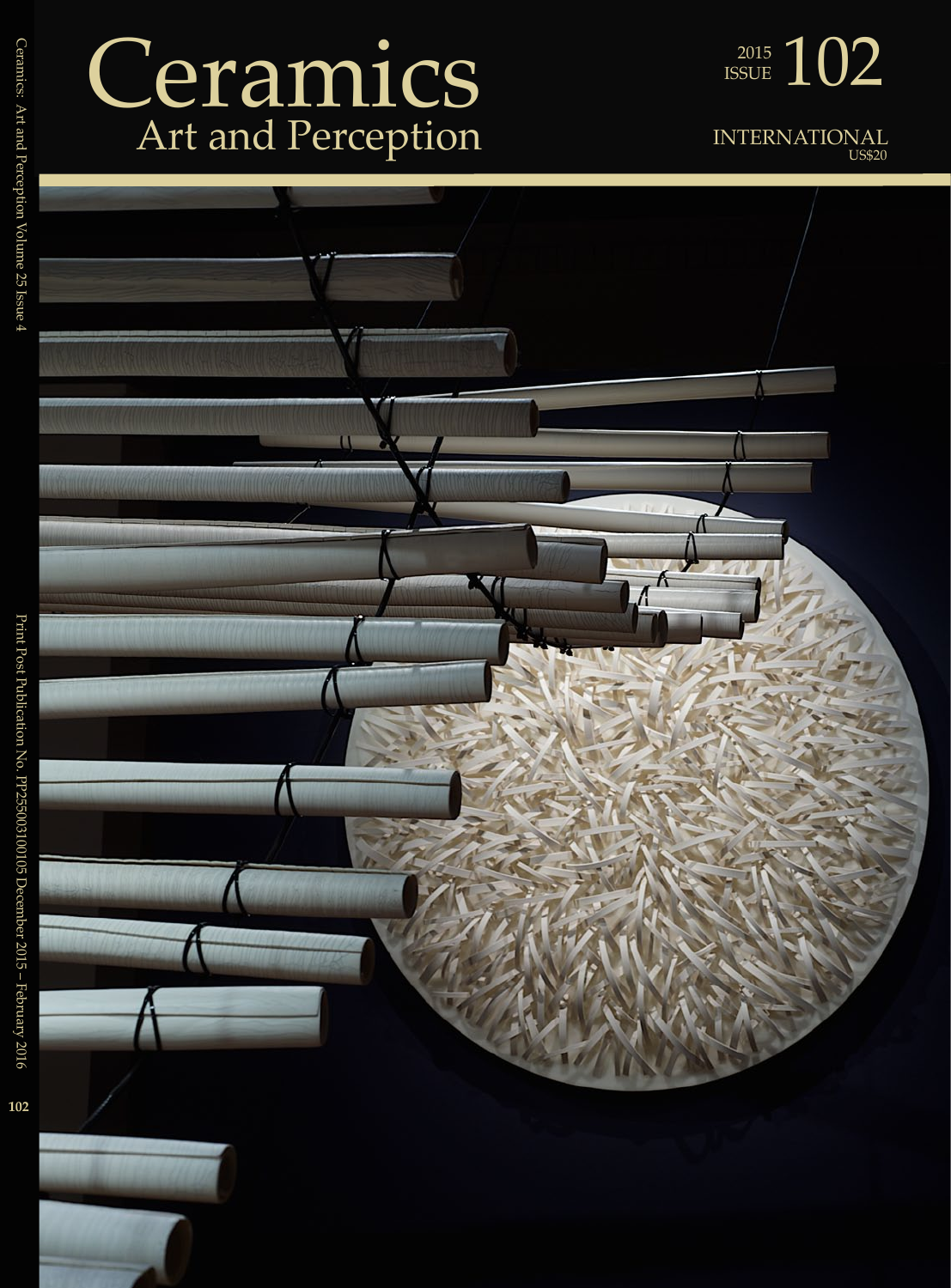## Ceramics Art and Perception



INTERNATIONAL US\$20



Print Post Publication No. PP255003100105 December 2015 – February 2016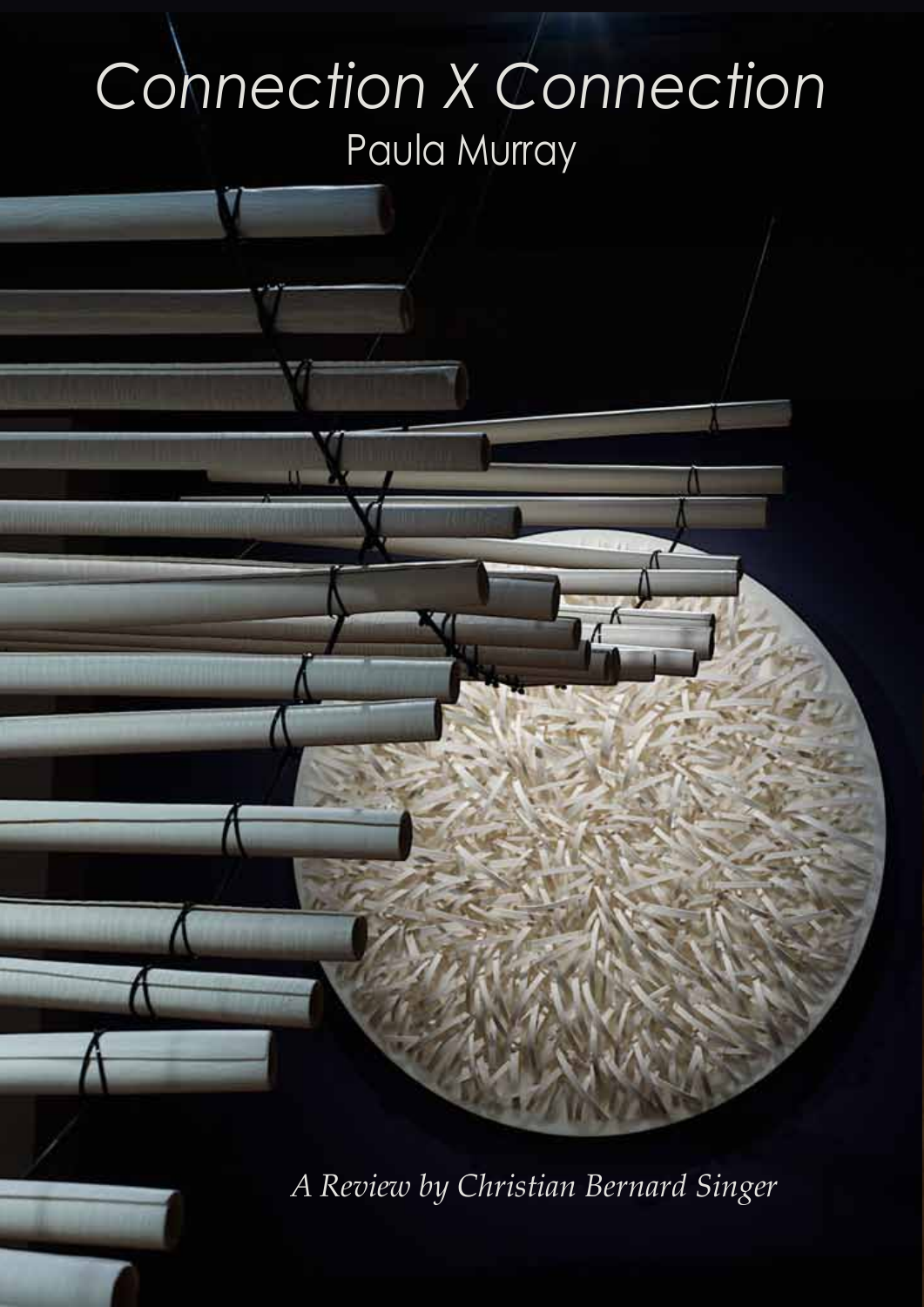## *Connection X Connection* Paula Murray

*A Review by Christian Bernard Singer*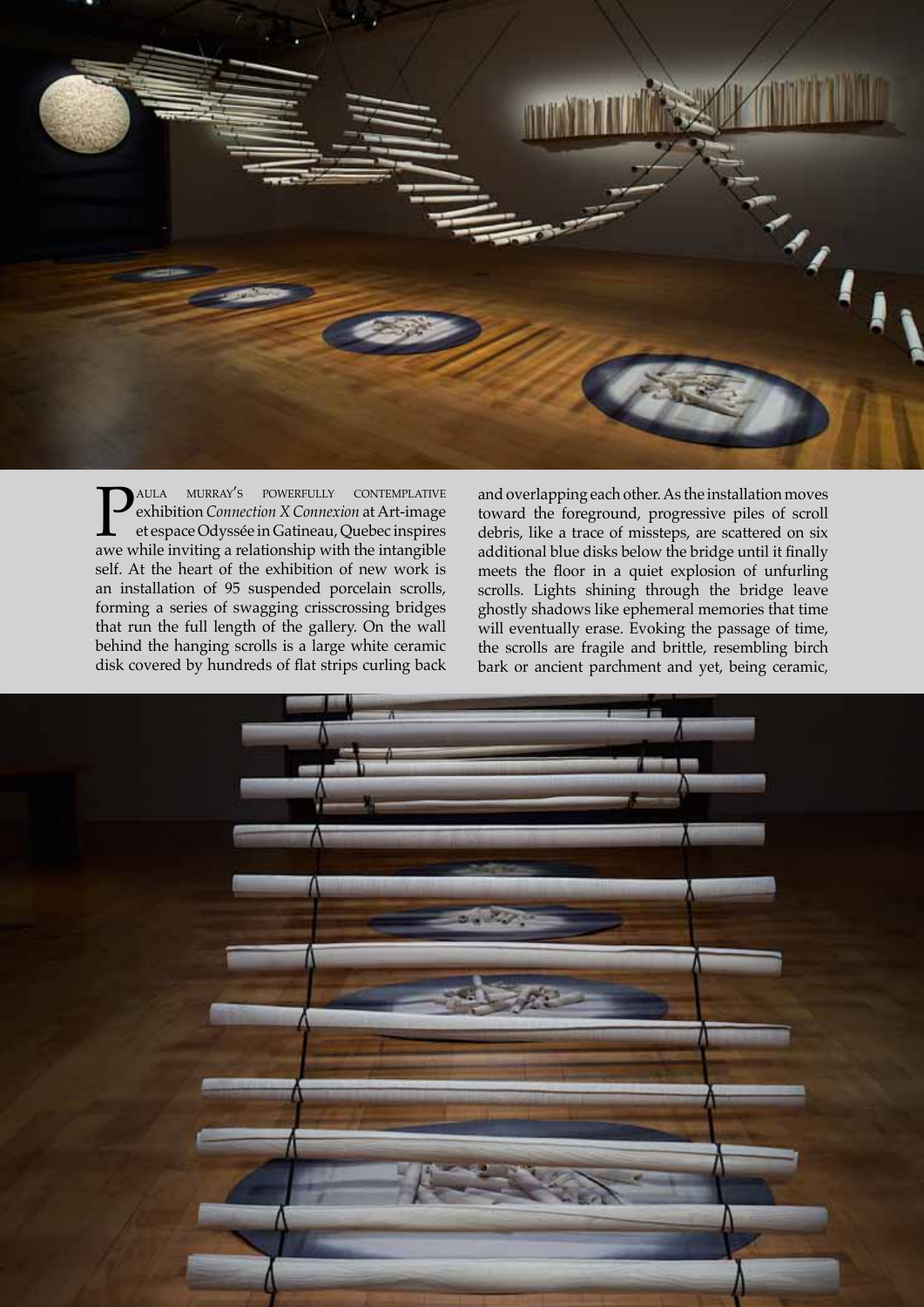$\mathbf{z}_{\mathbf{q}}$ 

**PAULA MURRAY'S POWERFULLY CONTEMPLATIVE**<br>
et espace Odyssée in Gatineau, Quebec inspires<br>
awe while inviting a relationship with the intangible exhibition *Connection X Connexion* at Art-image et espace Odyssée in Gatineau, Quebec inspires self. At the heart of the exhibition of new work is an installation of 95 suspended porcelain scrolls, forming a series of swagging crisscrossing bridges that run the full length of the gallery. On the wall behind the hanging scrolls is a large white ceramic disk covered by hundreds of flat strips curling back

and overlapping each other. As the installation moves toward the foreground, progressive piles of scroll debris, like a trace of missteps, are scattered on six additional blue disks below the bridge until it finally meets the floor in a quiet explosion of unfurling scrolls. Lights shining through the bridge leave ghostly shadows like ephemeral memories that time will eventually erase. Evoking the passage of time, the scrolls are fragile and brittle, resembling birch bark or ancient parchment and yet, being ceramic,

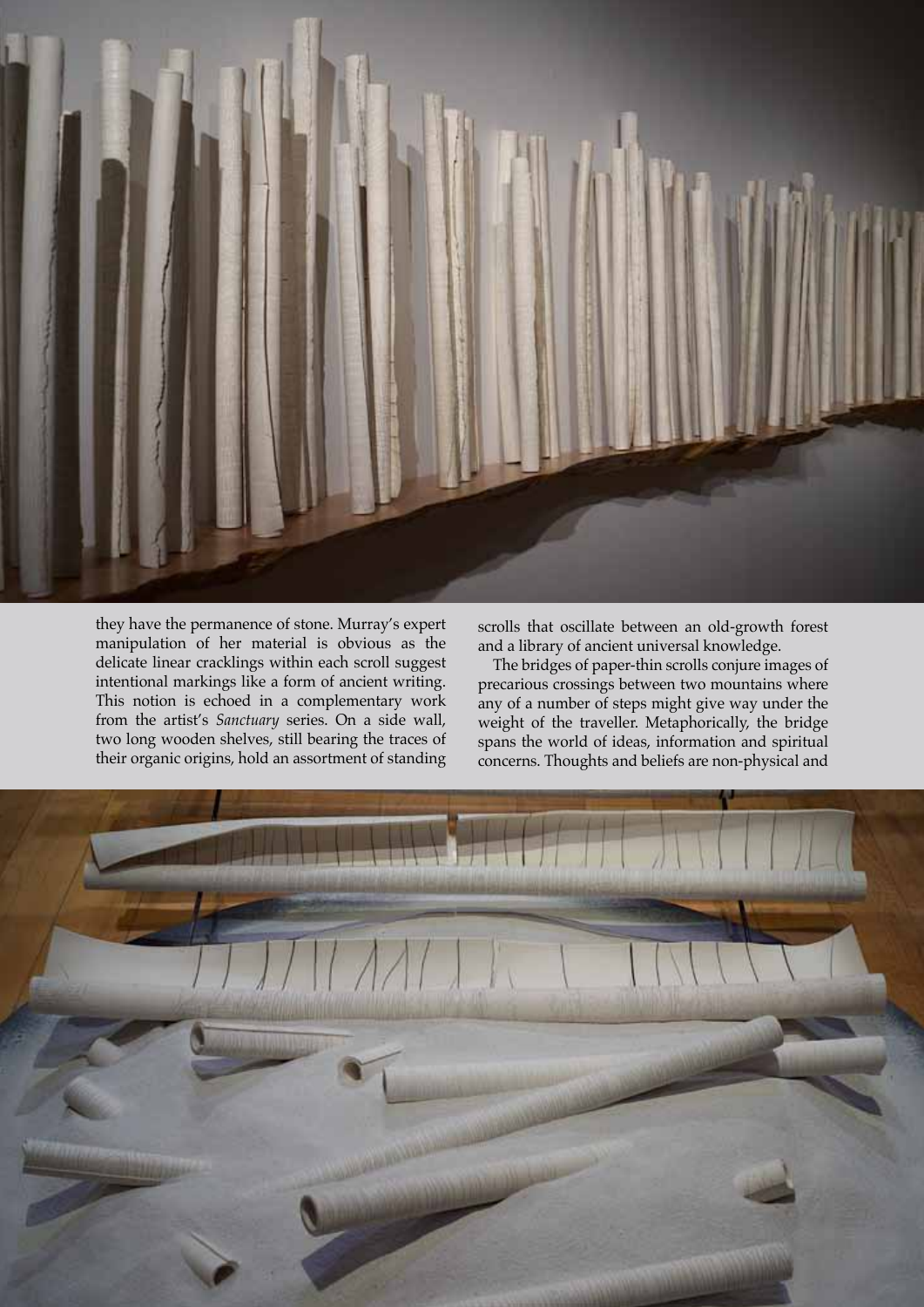

they have the permanence of stone. Murray's expert manipulation of her material is obvious as the delicate linear cracklings within each scroll suggest intentional markings like a form of ancient writing. This notion is echoed in a complementary work from the artist's *Sanctuary* series. On a side wall, two long wooden shelves, still bearing the traces of their organic origins, hold an assortment of standing

scrolls that oscillate between an old-growth forest and a library of ancient universal knowledge.

The bridges of paper-thin scrolls conjure images of precarious crossings between two mountains where any of a number of steps might give way under the weight of the traveller. Metaphorically, the bridge spans the world of ideas, information and spiritual concerns. Thoughts and beliefs are non-physical and